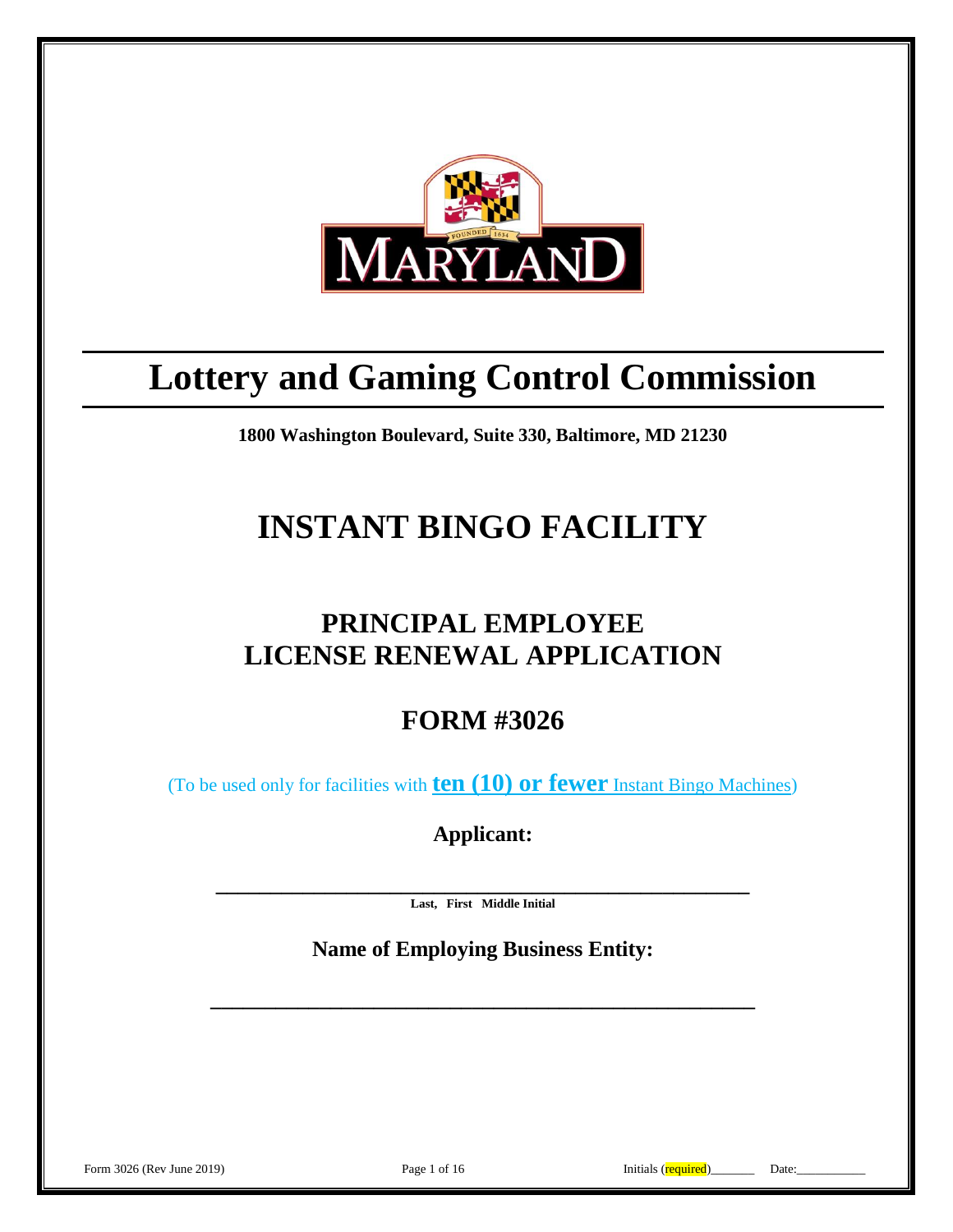

# **Lottery and Gaming Control Commission**

**1800 Washington Boulevard, Suite 330, Baltimore, MD 21230**

# **INSTANT BINGO FACILITY**

# **PRINCIPAL EMPLOYEE LICENSE RENEWAL APPLICATION**

**FORM #3026**

(To be used only for facilities with **ten (10) or fewer** Instant Bingo Machines)

**Applicant:**

**\_\_\_\_\_\_\_\_\_\_\_\_\_\_\_\_\_\_\_\_\_\_\_\_\_\_\_\_\_\_\_\_\_\_\_\_\_\_\_\_\_\_\_\_\_\_\_\_\_ Last, First Middle Initial**

**Name of Employing Business Entity:**

**\_\_\_\_\_\_\_\_\_\_\_\_\_\_\_\_\_\_\_\_\_\_\_\_\_\_\_\_\_\_\_\_\_\_\_\_\_\_\_\_\_\_\_\_\_\_\_\_\_\_**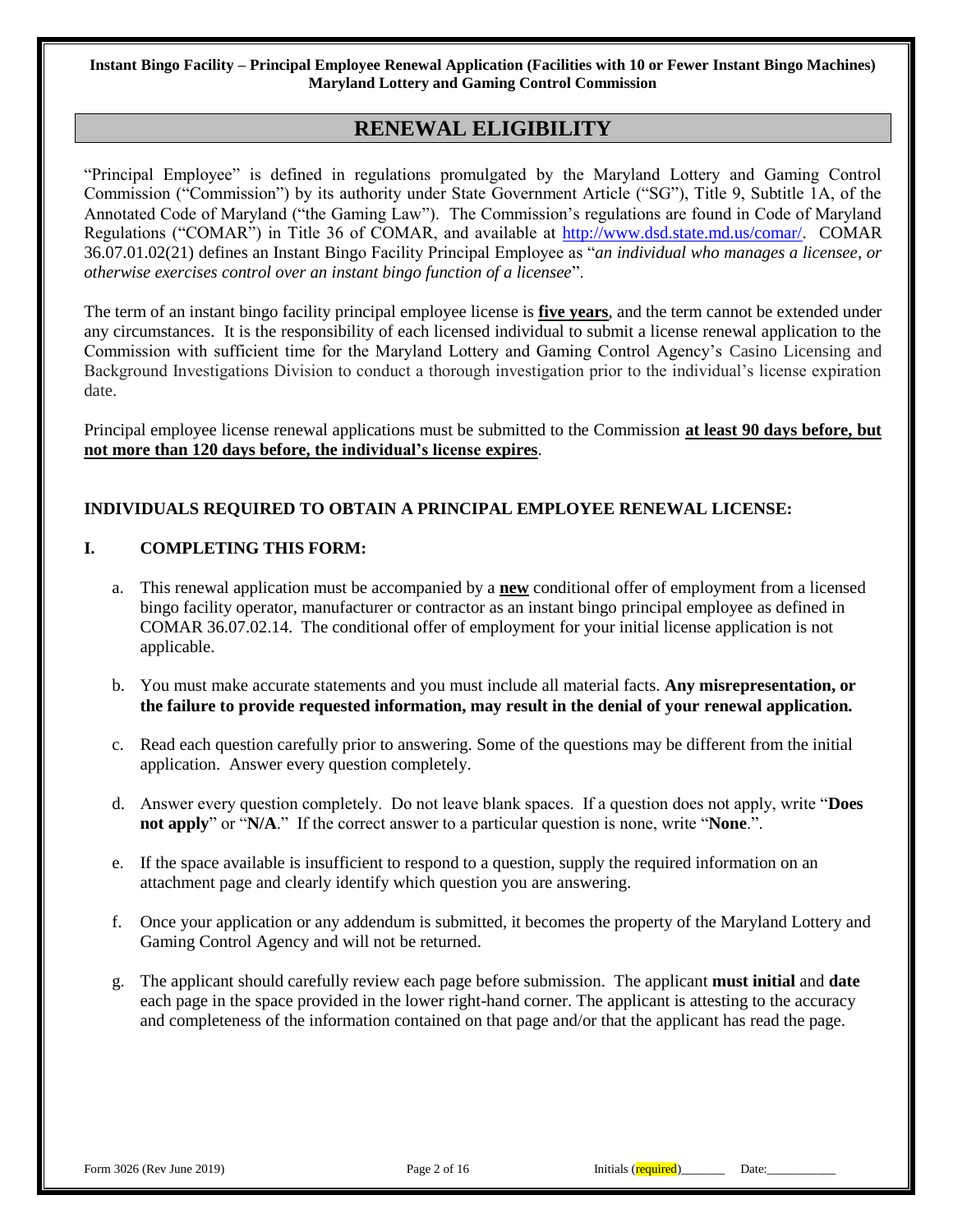## **RENEWAL ELIGIBILITY**

"Principal Employee" is defined in regulations promulgated by the Maryland Lottery and Gaming Control Commission ("Commission") by its authority under State Government Article ("SG"), Title 9, Subtitle 1A, of the Annotated Code of Maryland ("the Gaming Law"). The Commission's regulations are found in Code of Maryland Regulations ("COMAR") in Title 36 of COMAR, and available at [http://www.dsd.state.md.us/comar/.](http://www.dsd.state.md.us/comar/) COMAR 36.07.01.02(21) defines an Instant Bingo Facility Principal Employee as "*an individual who manages a licensee, or otherwise exercises control over an instant bingo function of a licensee*".

The term of an instant bingo facility principal employee license is **five years**, and the term cannot be extended under any circumstances. It is the responsibility of each licensed individual to submit a license renewal application to the Commission with sufficient time for the Maryland Lottery and Gaming Control Agency's Casino Licensing and Background Investigations Division to conduct a thorough investigation prior to the individual's license expiration date.

Principal employee license renewal applications must be submitted to the Commission **at least 90 days before, but not more than 120 days before, the individual's license expires**.

#### **INDIVIDUALS REQUIRED TO OBTAIN A PRINCIPAL EMPLOYEE RENEWAL LICENSE:**

#### **I. COMPLETING THIS FORM:**

- a. This renewal application must be accompanied by a **new** conditional offer of employment from a licensed bingo facility operator, manufacturer or contractor as an instant bingo principal employee as defined in COMAR 36.07.02.14. The conditional offer of employment for your initial license application is not applicable.
- b. You must make accurate statements and you must include all material facts. **Any misrepresentation, or the failure to provide requested information, may result in the denial of your renewal application.**
- c. Read each question carefully prior to answering. Some of the questions may be different from the initial application. Answer every question completely.
- d. Answer every question completely. Do not leave blank spaces. If a question does not apply, write "**Does not apply**" or "**N/A**." If the correct answer to a particular question is none, write "**None**.".
- e. If the space available is insufficient to respond to a question, supply the required information on an attachment page and clearly identify which question you are answering.
- f. Once your application or any addendum is submitted, it becomes the property of the Maryland Lottery and Gaming Control Agency and will not be returned.
- g. The applicant should carefully review each page before submission. The applicant **must initial** and **date** each page in the space provided in the lower right-hand corner. The applicant is attesting to the accuracy and completeness of the information contained on that page and/or that the applicant has read the page.

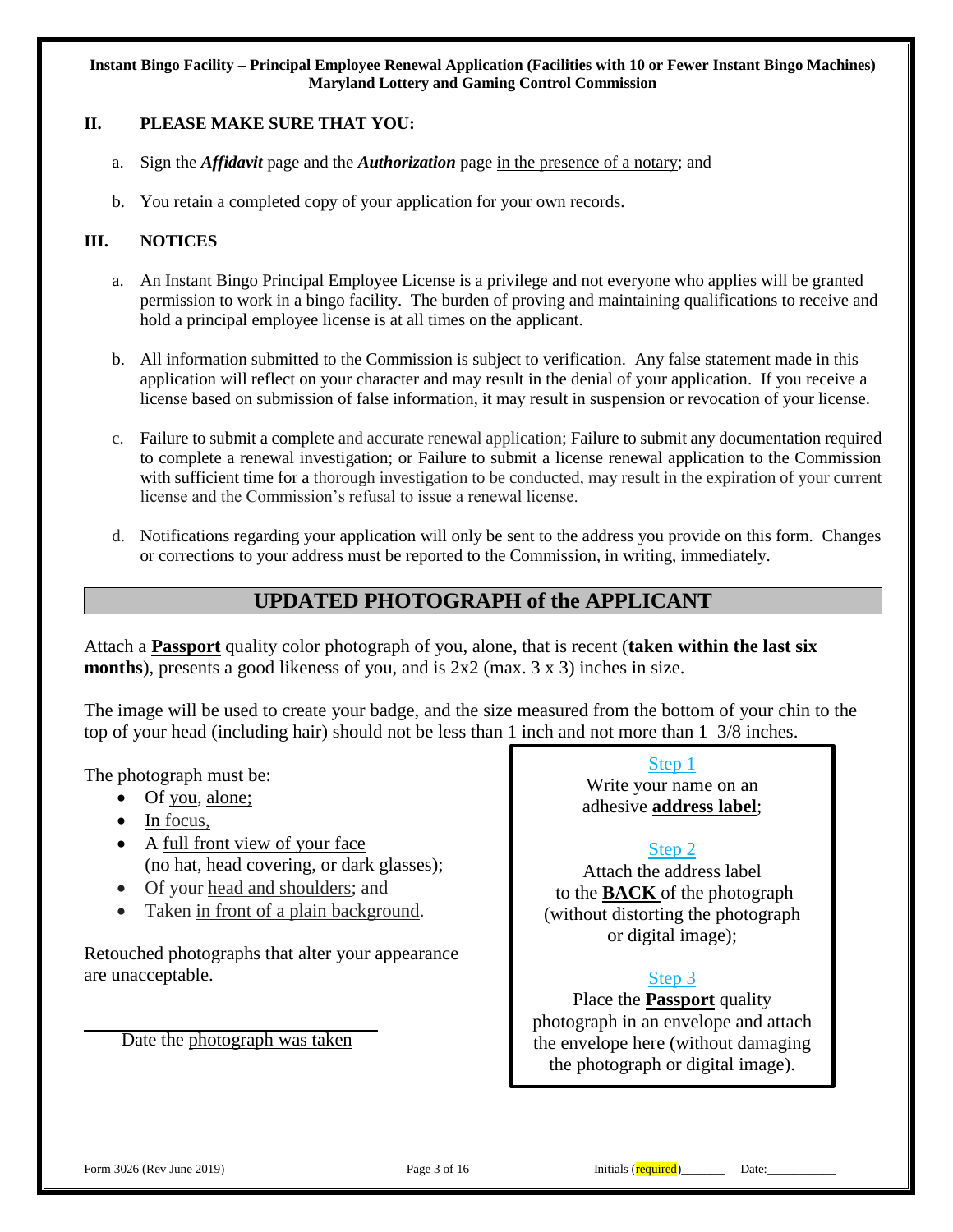### **II. PLEASE MAKE SURE THAT YOU:**

- a. Sign the *Affidavit* page and the *Authorization* page in the presence of a notary; and
- b. You retain a completed copy of your application for your own records.

#### **III. NOTICES**

- a. An Instant Bingo Principal Employee License is a privilege and not everyone who applies will be granted permission to work in a bingo facility. The burden of proving and maintaining qualifications to receive and hold a principal employee license is at all times on the applicant.
- b. All information submitted to the Commission is subject to verification. Any false statement made in this application will reflect on your character and may result in the denial of your application. If you receive a license based on submission of false information, it may result in suspension or revocation of your license.
- c. Failure to submit a complete and accurate renewal application; Failure to submit any documentation required to complete a renewal investigation; or Failure to submit a license renewal application to the Commission with sufficient time for a thorough investigation to be conducted, may result in the expiration of your current license and the Commission's refusal to issue a renewal license.
- d. Notifications regarding your application will only be sent to the address you provide on this form. Changes or corrections to your address must be reported to the Commission, in writing, immediately.

## **UPDATED PHOTOGRAPH of the APPLICANT**

Attach a **Passport** quality color photograph of you, alone, that is recent (**taken within the last six months**), presents a good likeness of you, and is 2x2 (max. 3 x 3) inches in size.

The image will be used to create your badge, and the size measured from the bottom of your chin to the top of your head (including hair) should not be less than 1 inch and not more than 1–3/8 inches.

The photograph must be:

- Of you, alone;
- $\bullet$  In focus,
- A full front view of your face (no hat, head covering, or dark glasses);
- Of your head and shoulders; and
- Taken in front of a plain background.

Retouched photographs that alter your appearance are unacceptable.

Date the photograph was taken

Step 1

Write your name on an adhesive **address label**;

## Step 2

Attach the address label to the **BACK** of the photograph (without distorting the photograph or digital image);

## Step 3

Place the **Passport** quality photograph in an envelope and attach the envelope here (without damaging the photograph or digital image).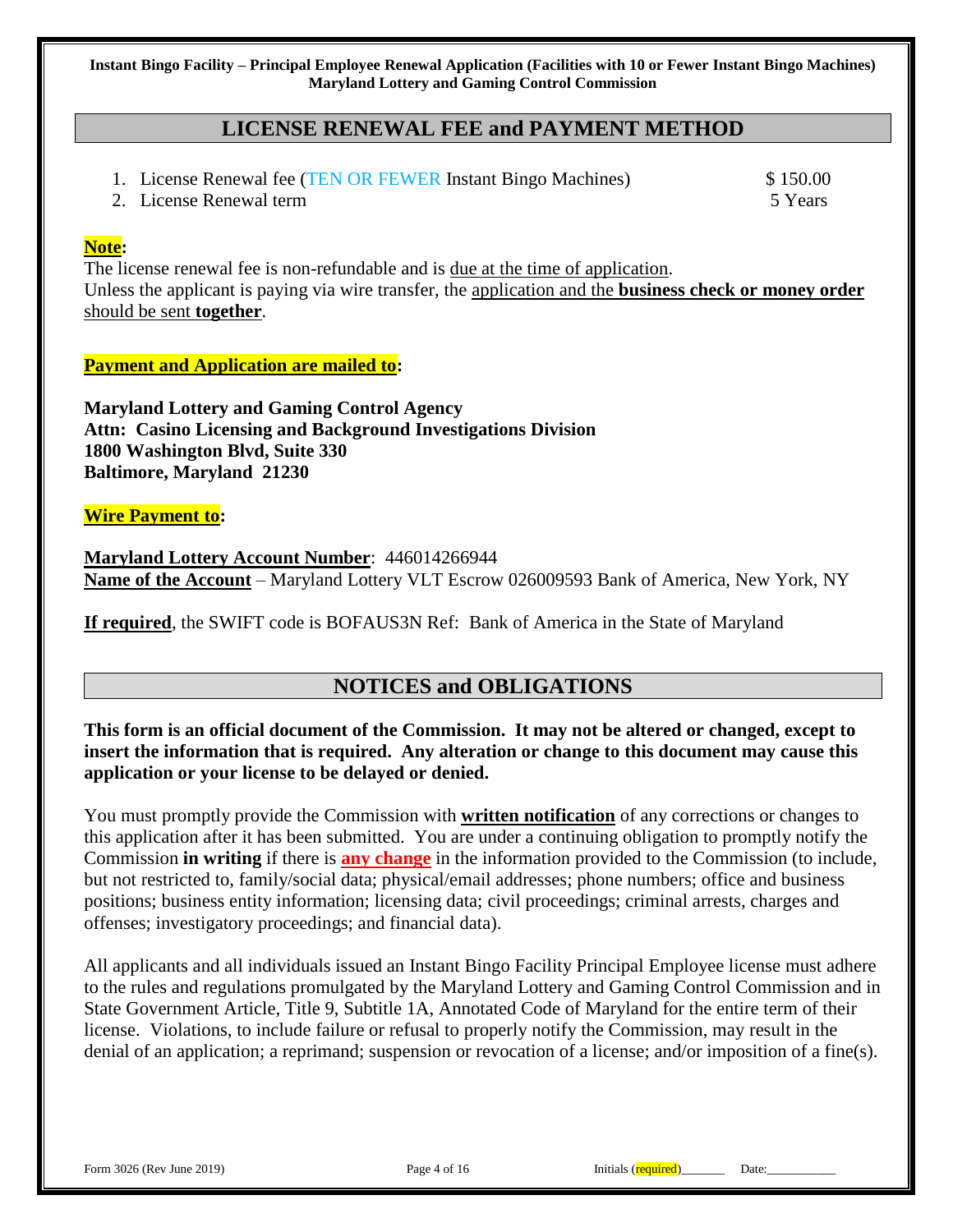## **LICENSE RENEWAL FEE and PAYMENT METHOD**

- 1. License Renewal fee (TEN OR FEWER Instant Bingo Machines) \$150.00
- 2. License Renewal term 5 Years 3 Sears 3 Sears 3 Sears 3 Sears 3 Sears 3 Sears 3 Sears 3 Sears 3 Sears 3 Sears 3 Sears 3 Sears 3 Sears 3 Sears 3 Sears 3 Sears 3 Sears 3 Sears 3 Sears 3 Sears 3 Sears 3 Sears 3 Sears 3 Sear

#### **Note:**

The license renewal fee is non-refundable and is due at the time of application. Unless the applicant is paying via wire transfer, the application and the **business check or money order** should be sent **together**.

### **Payment and Application are mailed to:**

**Maryland Lottery and Gaming Control Agency Attn: Casino Licensing and Background Investigations Division 1800 Washington Blvd, Suite 330 Baltimore, Maryland 21230**

#### **Wire Payment to:**

**Maryland Lottery Account Number**: 446014266944 **Name of the Account** – Maryland Lottery VLT Escrow 026009593 Bank of America, New York, NY

**If required**, the SWIFT code is BOFAUS3N Ref: Bank of America in the State of Maryland

## **NOTICES and OBLIGATIONS**

## **This form is an official document of the Commission. It may not be altered or changed, except to insert the information that is required. Any alteration or change to this document may cause this application or your license to be delayed or denied.**

You must promptly provide the Commission with **written notification** of any corrections or changes to this application after it has been submitted. You are under a continuing obligation to promptly notify the Commission **in writing** if there is **any change** in the information provided to the Commission (to include, but not restricted to, family/social data; physical/email addresses; phone numbers; office and business positions; business entity information; licensing data; civil proceedings; criminal arrests, charges and offenses; investigatory proceedings; and financial data).

All applicants and all individuals issued an Instant Bingo Facility Principal Employee license must adhere to the rules and regulations promulgated by the Maryland Lottery and Gaming Control Commission and in State Government Article, Title 9, Subtitle 1A, Annotated Code of Maryland for the entire term of their license. Violations, to include failure or refusal to properly notify the Commission, may result in the denial of an application; a reprimand; suspension or revocation of a license; and/or imposition of a fine(s).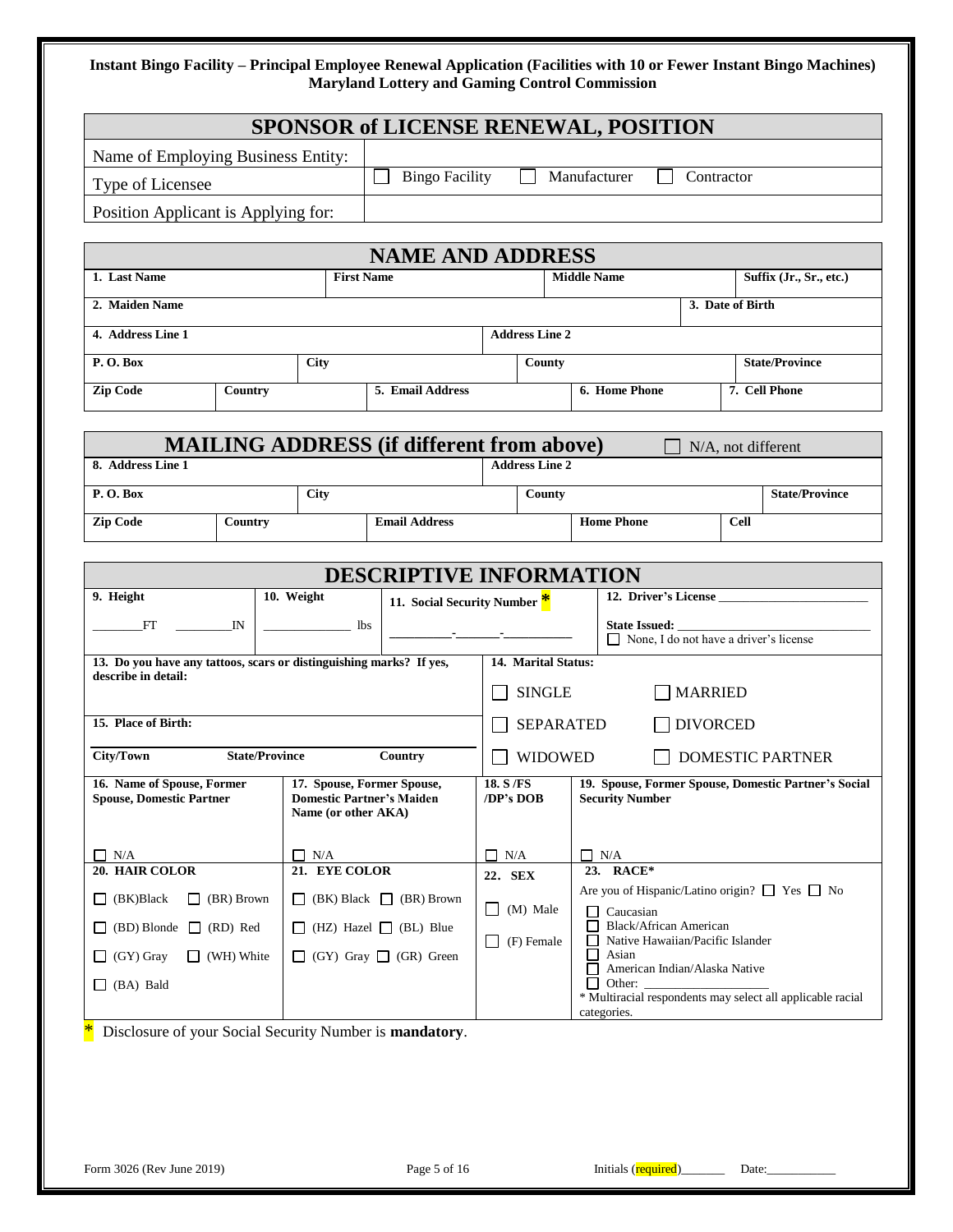| <b>SPONSOR of LICENSE RENEWAL, POSITION</b>                         |                                                         |                             |                                                  |                                                                                                                |  |                                                               |  |                                                            |
|---------------------------------------------------------------------|---------------------------------------------------------|-----------------------------|--------------------------------------------------|----------------------------------------------------------------------------------------------------------------|--|---------------------------------------------------------------|--|------------------------------------------------------------|
| Name of Employing Business Entity:                                  |                                                         |                             |                                                  |                                                                                                                |  |                                                               |  |                                                            |
| Type of Licensee                                                    |                                                         |                             | <b>Bingo Facility</b>                            | Manufacturer<br>Contractor                                                                                     |  |                                                               |  |                                                            |
| Position Applicant is Applying for:                                 |                                                         |                             |                                                  |                                                                                                                |  |                                                               |  |                                                            |
|                                                                     | <b>NAME AND ADDRESS</b>                                 |                             |                                                  |                                                                                                                |  |                                                               |  |                                                            |
| 1. Last Name                                                        |                                                         | <b>First Name</b>           |                                                  |                                                                                                                |  | <b>Middle Name</b>                                            |  | Suffix (Jr., Sr., etc.)                                    |
| 2. Maiden Name                                                      |                                                         |                             |                                                  |                                                                                                                |  |                                                               |  | 3. Date of Birth                                           |
| 4. Address Line 1                                                   |                                                         |                             |                                                  | <b>Address Line 2</b>                                                                                          |  |                                                               |  |                                                            |
| P.O.Box                                                             |                                                         | City                        |                                                  | County                                                                                                         |  |                                                               |  | <b>State/Province</b>                                      |
| <b>Zip Code</b>                                                     | Country                                                 |                             | 5. Email Address                                 |                                                                                                                |  | 6. Home Phone                                                 |  | 7. Cell Phone                                              |
|                                                                     |                                                         |                             |                                                  |                                                                                                                |  |                                                               |  |                                                            |
|                                                                     |                                                         |                             | <b>MAILING ADDRESS (if different from above)</b> |                                                                                                                |  |                                                               |  | N/A, not different                                         |
| 8. Address Line 1                                                   |                                                         |                             |                                                  | <b>Address Line 2</b>                                                                                          |  |                                                               |  |                                                            |
| P.O.Box                                                             |                                                         | <b>City</b>                 |                                                  | County                                                                                                         |  |                                                               |  | <b>State/Province</b>                                      |
| <b>Zip Code</b>                                                     | Country                                                 |                             | <b>Email Address</b>                             |                                                                                                                |  | <b>Home Phone</b>                                             |  | <b>Cell</b>                                                |
|                                                                     |                                                         |                             | <b>DESCRIPTIVE INFORMATION</b>                   |                                                                                                                |  |                                                               |  |                                                            |
| 9. Height                                                           |                                                         | 10. Weight                  | 11. Social Security Number *                     |                                                                                                                |  | 12. Driver's License                                          |  |                                                            |
| FT                                                                  | $_{\rm IN}$                                             | $\frac{1}{2}$ lbs           |                                                  |                                                                                                                |  | State Issued: _                                               |  |                                                            |
| 13. Do you have any tattoos, scars or distinguishing marks? If yes, |                                                         |                             |                                                  | 14. Marital Status:                                                                                            |  |                                                               |  | □ None, I do not have a driver's license                   |
| describe in detail:                                                 |                                                         |                             |                                                  | <b>SINGLE</b><br><b>MARRIED</b>                                                                                |  |                                                               |  |                                                            |
| 15. Place of Birth:                                                 |                                                         |                             |                                                  | <b>DIVORCED</b><br><b>SEPARATED</b>                                                                            |  |                                                               |  |                                                            |
| City/Town                                                           | <b>State/Province</b>                                   |                             | Country                                          |                                                                                                                |  |                                                               |  |                                                            |
| 16. Name of Spouse, Former                                          |                                                         |                             | 17. Spouse, Former Spouse,                       | <b>WIDOWED</b><br><b>DOMESTIC PARTNER</b><br>19. Spouse, Former Spouse, Domestic Partner's Social<br>18. S /FS |  |                                                               |  |                                                            |
| <b>Spouse, Domestic Partner</b>                                     |                                                         | Name (or other AKA)         | <b>Domestic Partner's Maiden</b>                 | /DP's DOB                                                                                                      |  | <b>Security Number</b>                                        |  |                                                            |
|                                                                     |                                                         |                             |                                                  |                                                                                                                |  |                                                               |  |                                                            |
| $\Box$ N/A<br>20. HAIR COLOR                                        |                                                         | $\Box$ N/A<br>21. EYE COLOR |                                                  | $\Box$ N/A<br>22. SEX                                                                                          |  | $\Box$ N/A<br>23. RACE*                                       |  |                                                            |
| $\Box$ (BK)Black                                                    | $\Box$ (BR) Brown                                       | $\Box$                      | (BK) Black $\Box$ (BR) Brown                     |                                                                                                                |  |                                                               |  | Are you of Hispanic/Latino origin? □ Yes □ No              |
| $(BD)$ Blonde $\Box$ (RD) Red<br>$\Box$                             |                                                         |                             | (HZ) Hazel $\Box$ (BL) Blue                      | (M) Male<br>$\mathsf{L}$                                                                                       |  | Caucasian<br>П<br>Black/African American<br>$\Box$            |  |                                                            |
| (GY) Gray<br>ப                                                      | $\Box$ (WH) White                                       |                             | $\Box$ (GY) Gray $\Box$ (GR) Green               | (F) Female<br>$\mathsf{L}$                                                                                     |  | Native Hawaiian/Pacific Islander<br>П<br>Asian<br>ப           |  |                                                            |
| (BA) Bald<br>ப                                                      |                                                         |                             |                                                  |                                                                                                                |  | American Indian/Alaska Native<br>$\perp$<br>Other:<br>$\perp$ |  |                                                            |
|                                                                     |                                                         |                             |                                                  |                                                                                                                |  | categories.                                                   |  | * Multiracial respondents may select all applicable racial |
|                                                                     | Disclosure of your Social Security Number is mandatory. |                             |                                                  |                                                                                                                |  |                                                               |  |                                                            |
|                                                                     |                                                         |                             |                                                  |                                                                                                                |  |                                                               |  |                                                            |
|                                                                     |                                                         |                             |                                                  |                                                                                                                |  |                                                               |  |                                                            |
|                                                                     |                                                         |                             |                                                  |                                                                                                                |  |                                                               |  |                                                            |
| Form 3026 (Rev June 2019)                                           |                                                         |                             | Page 5 of 16                                     |                                                                                                                |  | Initials (required)______                                     |  | Date: $\qquad \qquad$                                      |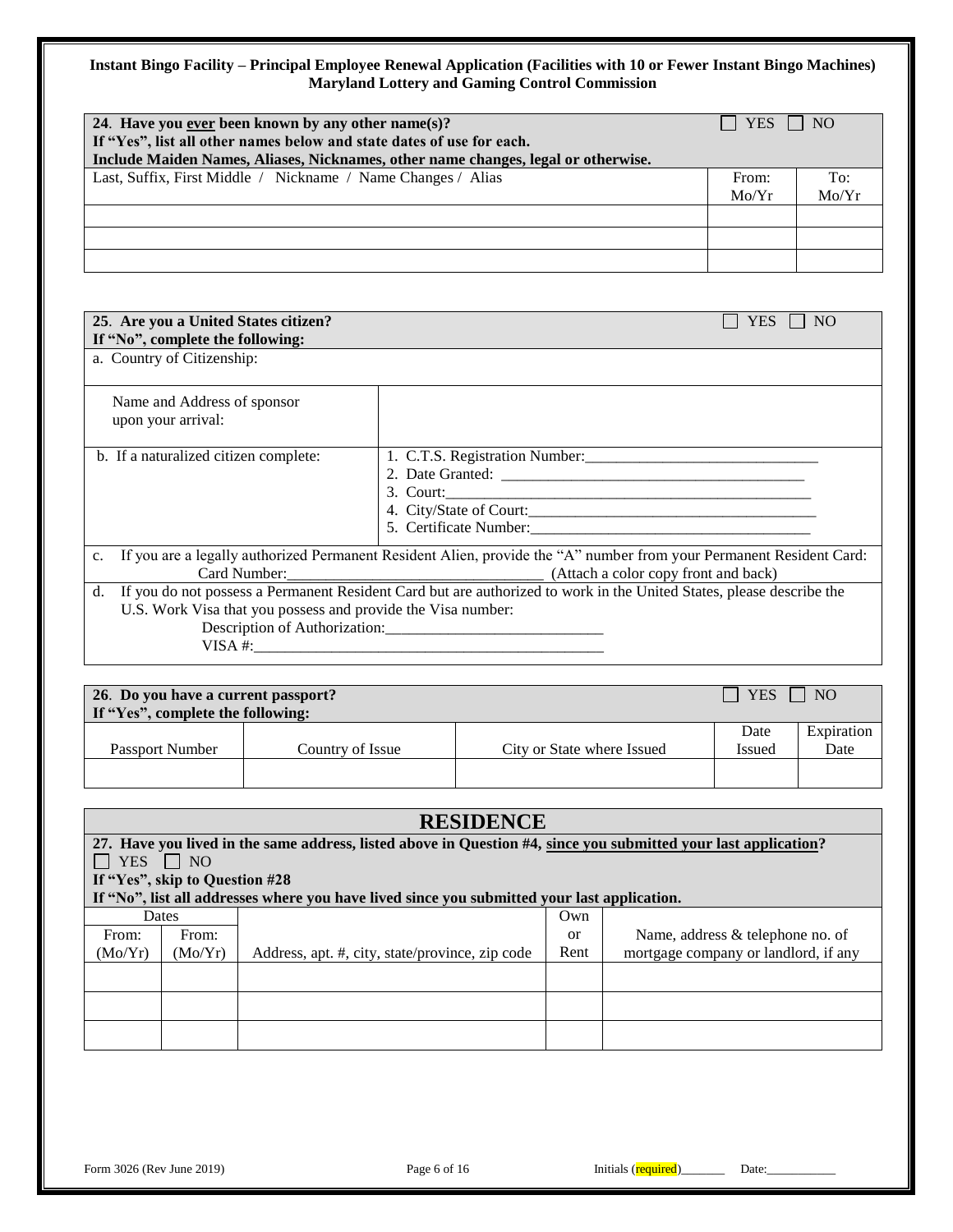| 24. Have you ever been known by any other name(s)?<br>If "Yes", list all other names below and state dates of use for each.<br>Include Maiden Names, Aliases, Nicknames, other name changes, legal or otherwise. | $\perp$ YES $\perp$ NO |              |
|------------------------------------------------------------------------------------------------------------------------------------------------------------------------------------------------------------------|------------------------|--------------|
| Last, Suffix, First Middle / Nickname / Name Changes / Alias                                                                                                                                                     | From:<br>Mo/Yr         | To:<br>Mo/Yr |
|                                                                                                                                                                                                                  |                        |              |
|                                                                                                                                                                                                                  |                        |              |

| 25. Are you a United States citizen?                               | YES.<br>NO                                                                                                                                                               |
|--------------------------------------------------------------------|--------------------------------------------------------------------------------------------------------------------------------------------------------------------------|
| If "No", complete the following:                                   |                                                                                                                                                                          |
| a. Country of Citizenship:                                         |                                                                                                                                                                          |
| Name and Address of sponsor<br>upon your arrival:                  |                                                                                                                                                                          |
| b. If a naturalized citizen complete:                              | 3. Court:                                                                                                                                                                |
| c.                                                                 | If you are a legally authorized Permanent Resident Alien, provide the "A" number from your Permanent Resident Card:<br>Card Number: (Attach a color copy front and back) |
| d.<br>U.S. Work Visa that you possess and provide the Visa number: | If you do not possess a Permanent Resident Card but are authorized to work in the United States, please describe the<br>Description of Authorization:                    |
|                                                                    |                                                                                                                                                                          |

| 26. Do you have a current passport?<br>N <sub>O</sub><br><b>YES</b><br>If "Yes", complete the following: |                  |                            |                       |                    |  |  |
|----------------------------------------------------------------------------------------------------------|------------------|----------------------------|-----------------------|--------------------|--|--|
| <b>Passport Number</b>                                                                                   | Country of Issue | City or State where Issued | Date<br><b>Issued</b> | Expiration<br>Date |  |  |
|                                                                                                          |                  |                            |                       |                    |  |  |

| <b>RESIDENCE</b> |                                                                                                                 |                                                                                             |      |                                      |  |  |  |  |
|------------------|-----------------------------------------------------------------------------------------------------------------|---------------------------------------------------------------------------------------------|------|--------------------------------------|--|--|--|--|
|                  | 27. Have you lived in the same address, listed above in Question #4, since you submitted your last application? |                                                                                             |      |                                      |  |  |  |  |
| <b>YES</b>       | $\vert$   NO                                                                                                    |                                                                                             |      |                                      |  |  |  |  |
|                  | If "Yes", skip to Question #28                                                                                  |                                                                                             |      |                                      |  |  |  |  |
|                  |                                                                                                                 | If "No", list all addresses where you have lived since you submitted your last application. |      |                                      |  |  |  |  |
|                  | <b>Dates</b>                                                                                                    |                                                                                             | Own  |                                      |  |  |  |  |
| From:            | From:                                                                                                           |                                                                                             | or   | Name, address & telephone no. of     |  |  |  |  |
| (Mo/Yr)          | (Mo/Yr)                                                                                                         | Address, apt. #, city, state/province, zip code                                             | Rent | mortgage company or landlord, if any |  |  |  |  |
|                  |                                                                                                                 |                                                                                             |      |                                      |  |  |  |  |
|                  |                                                                                                                 |                                                                                             |      |                                      |  |  |  |  |
|                  |                                                                                                                 |                                                                                             |      |                                      |  |  |  |  |
|                  |                                                                                                                 |                                                                                             |      |                                      |  |  |  |  |
|                  |                                                                                                                 |                                                                                             |      |                                      |  |  |  |  |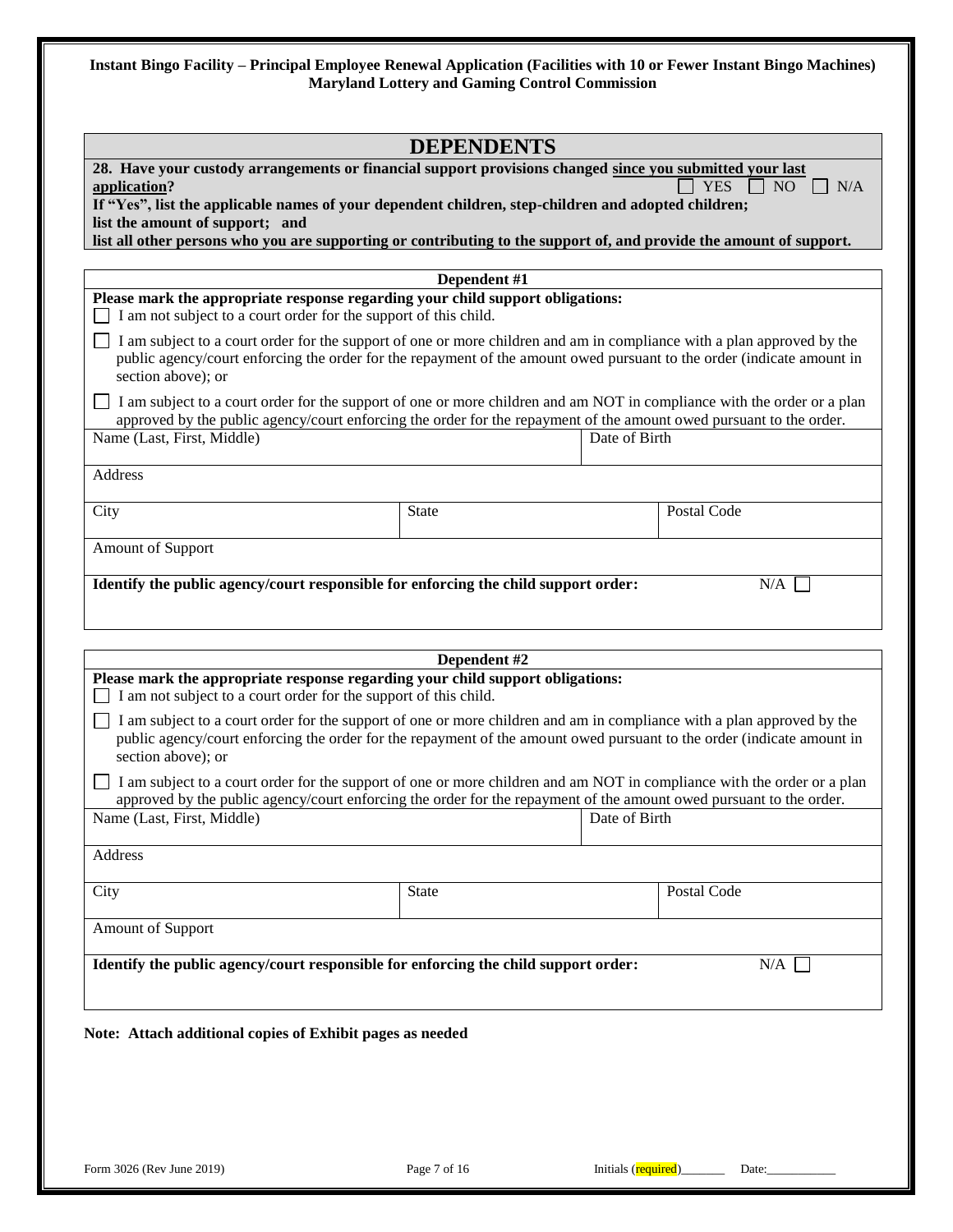|                                                                                                                                                                                                                                                                                                                                                                                           | <b>DEPENDENTS</b> |                     |                                      |
|-------------------------------------------------------------------------------------------------------------------------------------------------------------------------------------------------------------------------------------------------------------------------------------------------------------------------------------------------------------------------------------------|-------------------|---------------------|--------------------------------------|
| 28. Have your custody arrangements or financial support provisions changed since you submitted your last<br>application?<br>If "Yes", list the applicable names of your dependent children, step-children and adopted children;<br>list the amount of support; and<br>list all other persons who you are supporting or contributing to the support of, and provide the amount of support. |                   |                     | <b>YES</b><br>NO <sub>1</sub><br>N/A |
|                                                                                                                                                                                                                                                                                                                                                                                           | Dependent #1      |                     |                                      |
| Please mark the appropriate response regarding your child support obligations:<br>I am not subject to a court order for the support of this child.                                                                                                                                                                                                                                        |                   |                     |                                      |
| I am subject to a court order for the support of one or more children and am in compliance with a plan approved by the<br>public agency/court enforcing the order for the repayment of the amount owed pursuant to the order (indicate amount in<br>section above); or                                                                                                                    |                   |                     |                                      |
| I am subject to a court order for the support of one or more children and am NOT in compliance with the order or a plan<br>approved by the public agency/court enforcing the order for the repayment of the amount owed pursuant to the order.                                                                                                                                            |                   |                     |                                      |
| Name (Last, First, Middle)                                                                                                                                                                                                                                                                                                                                                                |                   | Date of Birth       |                                      |
| Address                                                                                                                                                                                                                                                                                                                                                                                   |                   |                     |                                      |
| City                                                                                                                                                                                                                                                                                                                                                                                      | <b>State</b>      |                     | Postal Code                          |
| Amount of Support                                                                                                                                                                                                                                                                                                                                                                         |                   |                     |                                      |
| Identify the public agency/court responsible for enforcing the child support order:                                                                                                                                                                                                                                                                                                       |                   |                     | N/A                                  |
|                                                                                                                                                                                                                                                                                                                                                                                           | Dependent #2      |                     |                                      |
| Please mark the appropriate response regarding your child support obligations:<br>I am not subject to a court order for the support of this child.                                                                                                                                                                                                                                        |                   |                     |                                      |
| I am subject to a court order for the support of one or more children and am in compliance with a plan approved by the<br>public agency/court enforcing the order for the repayment of the amount owed pursuant to the order (indicate amount in<br>section above); or                                                                                                                    |                   |                     |                                      |
| I am subject to a court order for the support of one or more children and am NOT in compliance with the order or a plan                                                                                                                                                                                                                                                                   |                   |                     |                                      |
| approved by the public agency/court enforcing the order for the repayment of the amount owed pursuant to the order.<br>Name (Last, First, Middle)                                                                                                                                                                                                                                         |                   | Date of Birth       |                                      |
| Address                                                                                                                                                                                                                                                                                                                                                                                   |                   |                     |                                      |
| City                                                                                                                                                                                                                                                                                                                                                                                      | State             |                     | Postal Code                          |
| Amount of Support                                                                                                                                                                                                                                                                                                                                                                         |                   |                     |                                      |
| Identify the public agency/court responsible for enforcing the child support order:                                                                                                                                                                                                                                                                                                       |                   |                     | N/A                                  |
|                                                                                                                                                                                                                                                                                                                                                                                           |                   |                     |                                      |
| Note: Attach additional copies of Exhibit pages as needed                                                                                                                                                                                                                                                                                                                                 |                   |                     |                                      |
|                                                                                                                                                                                                                                                                                                                                                                                           |                   |                     |                                      |
|                                                                                                                                                                                                                                                                                                                                                                                           |                   |                     |                                      |
|                                                                                                                                                                                                                                                                                                                                                                                           |                   |                     |                                      |
| Form 3026 (Rev June 2019)                                                                                                                                                                                                                                                                                                                                                                 | Page 7 of 16      | Initials (required) | Date:                                |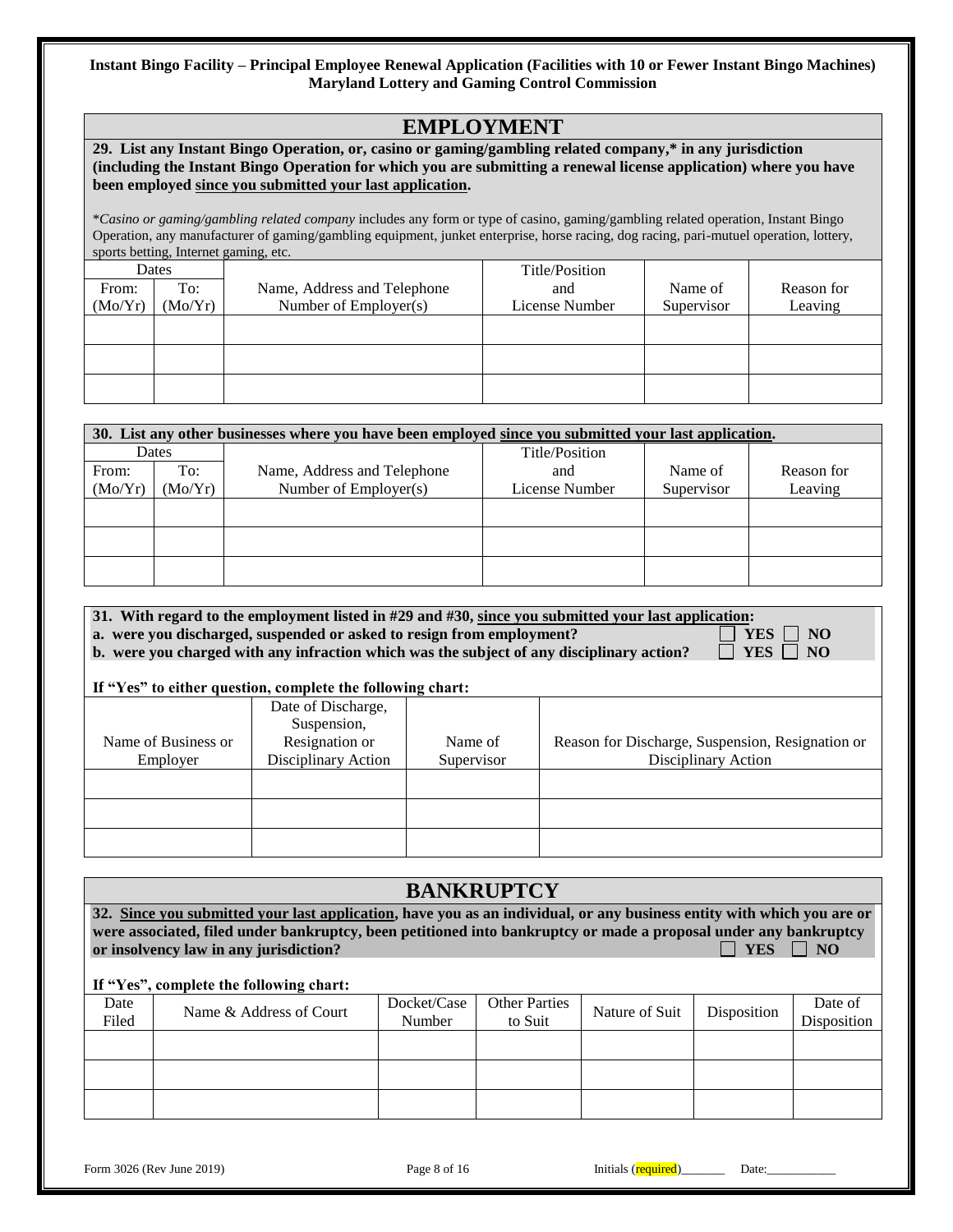# **EMPLOYMENT**

| 29. List any Instant Bingo Operation, or, casino or gaming/gambling related company,* in any jurisdiction         |
|-------------------------------------------------------------------------------------------------------------------|
| (including the Instant Bingo Operation for which you are submitting a renewal license application) where you have |
| been employed since you submitted your last application.                                                          |

\**Casino or gaming/gambling related company* includes any form or type of casino, gaming/gambling related operation, Instant Bingo Operation, any manufacturer of gaming/gambling equipment, junket enterprise, horse racing, dog racing, pari-mutuel operation, lottery, sports betting, Internet gaming, etc.

| Dates   |         |                             | Title/Position |            |            |
|---------|---------|-----------------------------|----------------|------------|------------|
| From:   | To:     | Name, Address and Telephone | and            | Name of    | Reason for |
| (Mo/Yr) | (Mo/Yr) | Number of Employer(s)       | License Number | Supervisor | Leaving    |
|         |         |                             |                |            |            |
|         |         |                             |                |            |            |
|         |         |                             |                |            |            |
|         |         |                             |                |            |            |
|         |         |                             |                |            |            |
|         |         |                             |                |            |            |

|         | 30. List any other businesses where you have been employed since you submitted your last application. |                             |                |            |            |  |  |  |
|---------|-------------------------------------------------------------------------------------------------------|-----------------------------|----------------|------------|------------|--|--|--|
|         | Dates                                                                                                 |                             | Title/Position |            |            |  |  |  |
| From:   | To:                                                                                                   | Name, Address and Telephone | and            | Name of    | Reason for |  |  |  |
| (Mo/Yr) | (Mo/Yr)                                                                                               | Number of $Emplover(s)$     | License Number | Supervisor | Leaving    |  |  |  |
|         |                                                                                                       |                             |                |            |            |  |  |  |
|         |                                                                                                       |                             |                |            |            |  |  |  |
|         |                                                                                                       |                             |                |            |            |  |  |  |
|         |                                                                                                       |                             |                |            |            |  |  |  |
|         |                                                                                                       |                             |                |            |            |  |  |  |
|         |                                                                                                       |                             |                |            |            |  |  |  |

| 31. With regard to the employment listed in #29 and #30, since you submitted your last application: |                      |
|-----------------------------------------------------------------------------------------------------|----------------------|
| a. were you discharged, suspended or asked to resign from employment?                               | $\Box$ YES $\Box$ NO |
| b. were you charged with any infraction which was the subject of any disciplinary action?           | $\Box$ YES $\Box$ NO |

#### **If "Yes" to either question, complete the following chart:**

| ш.                  | Tes to charge question, complete the following enarge. |            |                                                  |
|---------------------|--------------------------------------------------------|------------|--------------------------------------------------|
|                     | Date of Discharge,                                     |            |                                                  |
|                     | Suspension,                                            |            |                                                  |
| Name of Business or | Resignation or                                         | Name of    | Reason for Discharge, Suspension, Resignation or |
| Employer            | Disciplinary Action                                    | Supervisor | Disciplinary Action                              |
|                     |                                                        |            |                                                  |
|                     |                                                        |            |                                                  |
|                     |                                                        |            |                                                  |
|                     |                                                        |            |                                                  |
|                     |                                                        |            |                                                  |
|                     |                                                        |            |                                                  |

## **BANKRUPTCY**

**32. Since you submitted your last application, have you as an individual, or any business entity with which you are or were associated, filed under bankruptcy, been petitioned into bankruptcy or made a proposal under any bankruptcy or insolvency law in any jurisdiction?** The same state of the same state of the same state  $\Box$  **YES**  $\Box$  **NO** 

| Date<br>Filed | Name & Address of Court | Docket/Case<br>Number | <b>Other Parties</b><br>to Suit | Nature of Suit | Disposition | Date of<br>Disposition |
|---------------|-------------------------|-----------------------|---------------------------------|----------------|-------------|------------------------|
|               |                         |                       |                                 |                |             |                        |
|               |                         |                       |                                 |                |             |                        |
|               |                         |                       |                                 |                |             |                        |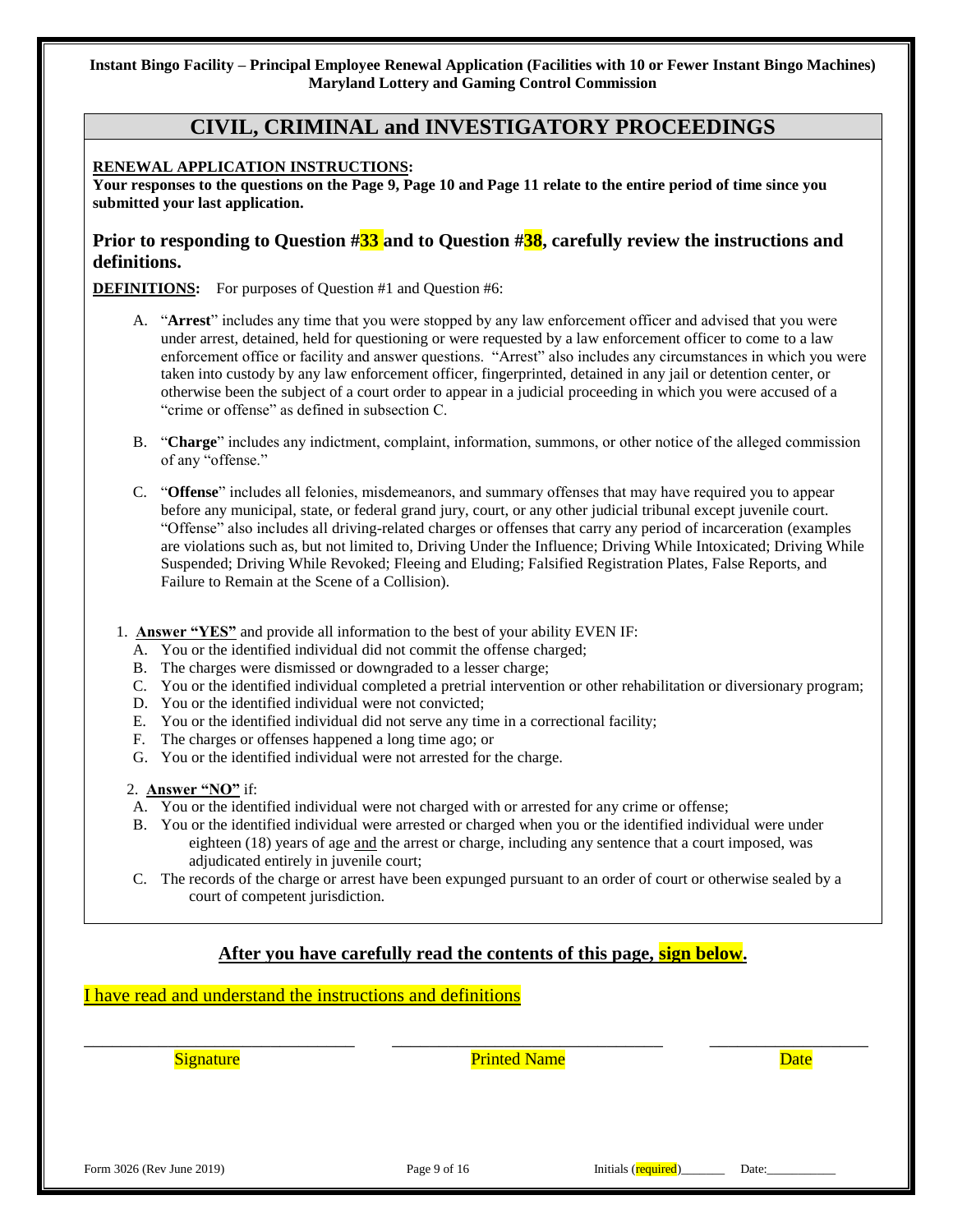## **CIVIL, CRIMINAL and INVESTIGATORY PROCEEDINGS**

#### **RENEWAL APPLICATION INSTRUCTIONS:**

**Your responses to the questions on the Page 9, Page 10 and Page 11 relate to the entire period of time since you submitted your last application.**

#### **Prior to responding to Question #33 and to Question #38, carefully review the instructions and definitions.**

**DEFINITIONS:** For purposes of Question #1 and Question #6:

- A. "**Arrest**" includes any time that you were stopped by any law enforcement officer and advised that you were under arrest, detained, held for questioning or were requested by a law enforcement officer to come to a law enforcement office or facility and answer questions. "Arrest" also includes any circumstances in which you were taken into custody by any law enforcement officer, fingerprinted, detained in any jail or detention center, or otherwise been the subject of a court order to appear in a judicial proceeding in which you were accused of a "crime or offense" as defined in subsection C.
- B. "**Charge**" includes any indictment, complaint, information, summons, or other notice of the alleged commission of any "offense."
- C. "**Offense**" includes all felonies, misdemeanors, and summary offenses that may have required you to appear before any municipal, state, or federal grand jury, court, or any other judicial tribunal except juvenile court. "Offense" also includes all driving-related charges or offenses that carry any period of incarceration (examples are violations such as, but not limited to, Driving Under the Influence; Driving While Intoxicated; Driving While Suspended; Driving While Revoked; Fleeing and Eluding; Falsified Registration Plates, False Reports, and Failure to Remain at the Scene of a Collision).
- 1. **Answer "YES"** and provide all information to the best of your ability EVEN IF:
	- A. You or the identified individual did not commit the offense charged;
	- B. The charges were dismissed or downgraded to a lesser charge;
	- C. You or the identified individual completed a pretrial intervention or other rehabilitation or diversionary program;
	- D. You or the identified individual were not convicted;
	- E. You or the identified individual did not serve any time in a correctional facility;
	- F. The charges or offenses happened a long time ago; or
	- G. You or the identified individual were not arrested for the charge.
	- 2. **Answer "NO"** if:
	- A. You or the identified individual were not charged with or arrested for any crime or offense;
	- B. You or the identified individual were arrested or charged when you or the identified individual were under eighteen (18) years of age and the arrest or charge, including any sentence that a court imposed, was adjudicated entirely in juvenile court;
	- C. The records of the charge or arrest have been expunged pursuant to an order of court or otherwise sealed by a court of competent jurisdiction.

## **After you have carefully read the contents of this page, sign below.**

\_\_\_\_\_\_\_\_\_\_\_\_\_\_\_\_\_\_\_\_\_\_\_\_\_\_\_\_\_ \_\_\_\_\_\_\_\_\_\_\_\_\_\_\_\_\_\_\_\_\_\_\_\_\_\_\_\_\_ \_\_\_\_\_\_\_\_\_\_\_\_\_\_\_\_\_

I have read and understand the instructions and definitions

Signature **Printed Name Printed Name Date Date** 

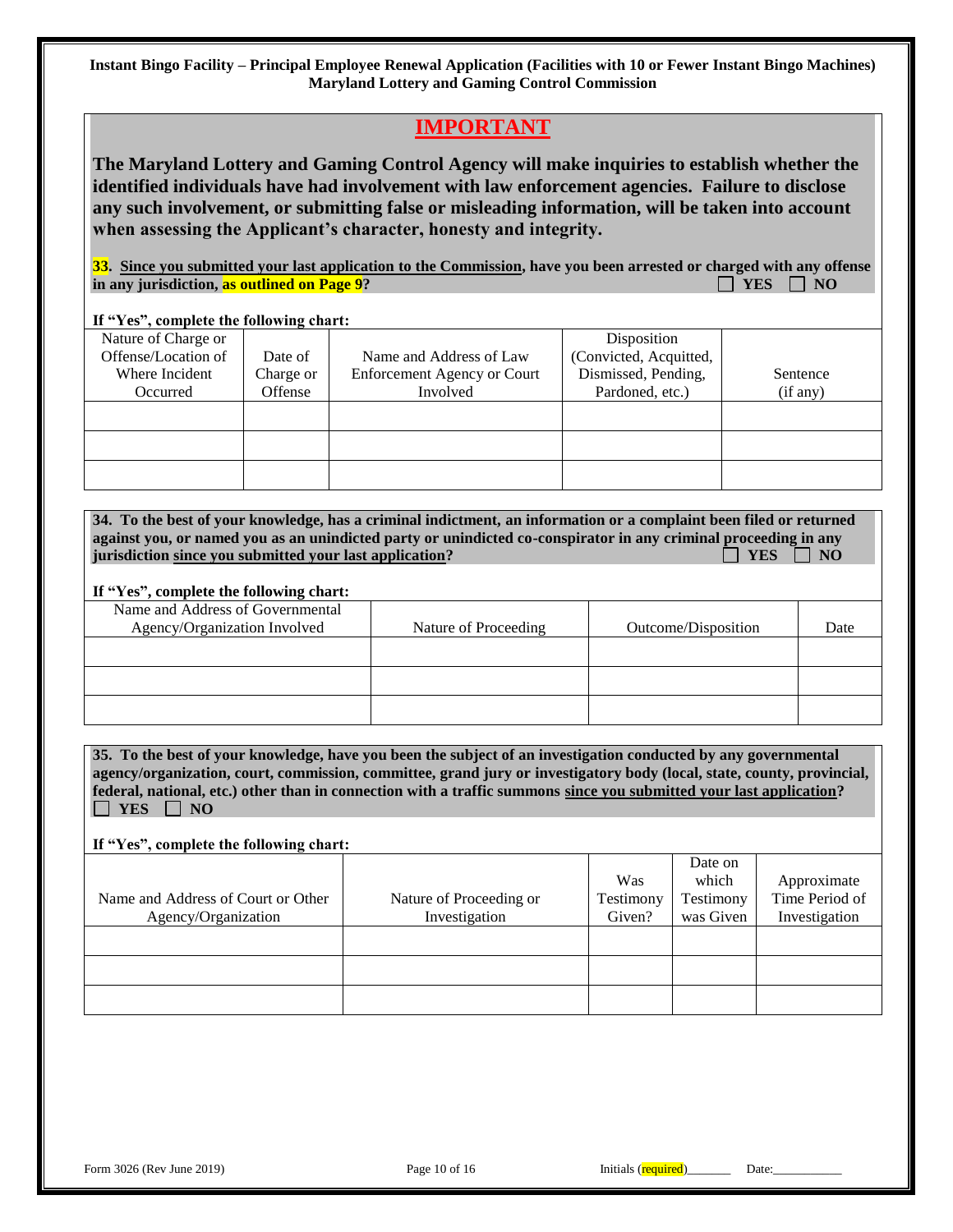# **IMPORTANT**

**The Maryland Lottery and Gaming Control Agency will make inquiries to establish whether the identified individuals have had involvement with law enforcement agencies. Failure to disclose any such involvement, or submitting false or misleading information, will be taken into account when assessing the Applicant's character, honesty and integrity.**

**33. Since you submitted your last application to the Commission, have you been arrested or charged with any offense in any jurisdiction, as outlined on Page 9?**  $\Box$  **YES**  $\Box$  **YES**  $\Box$  **NO** 

#### **If "Yes", complete the following chart:**

| Nature of Charge or |           |                                    | Disposition            |          |
|---------------------|-----------|------------------------------------|------------------------|----------|
| Offense/Location of | Date of   | Name and Address of Law            | (Convicted, Acquitted, |          |
| Where Incident      | Charge or | <b>Enforcement Agency or Court</b> | Dismissed, Pending,    | Sentence |
| Occurred            | Offense   | Involved                           | Pardoned, etc.)        | (if any) |
|                     |           |                                    |                        |          |
|                     |           |                                    |                        |          |
|                     |           |                                    |                        |          |
|                     |           |                                    |                        |          |
|                     |           |                                    |                        |          |

| 34. To the best of your knowledge, has a criminal indictment, an information or a complaint been filed or returned |                        |
|--------------------------------------------------------------------------------------------------------------------|------------------------|
| against you, or named you as an unindicted party or unindicted co-conspirator in any criminal proceeding in any    |                        |
| jurisdiction since you submitted your last application?                                                            | $\perp$ YES $\perp$ NO |

#### **If "Yes", complete the following chart:**

| Name and Address of Governmental<br>Agency/Organization Involved | Nature of Proceeding | Outcome/Disposition | Date |
|------------------------------------------------------------------|----------------------|---------------------|------|
|                                                                  |                      |                     |      |
|                                                                  |                      |                     |      |
|                                                                  |                      |                     |      |

**35. To the best of your knowledge, have you been the subject of an investigation conducted by any governmental agency/organization, court, commission, committee, grand jury or investigatory body (local, state, county, provincial, federal, national, etc.) other than in connection with a traffic summons since you submitted your last application?**   $\Box$  YES  $\Box$  NO

|                         |           | Date on   |                |
|-------------------------|-----------|-----------|----------------|
|                         | Was       | which     | Approximate    |
| Nature of Proceeding or | Testimony | Testimony | Time Period of |
| Investigation           | Given?    | was Given | Investigation  |
|                         |           |           |                |
|                         |           |           |                |
|                         |           |           |                |
|                         |           |           |                |
|                         |           |           |                |
|                         |           |           |                |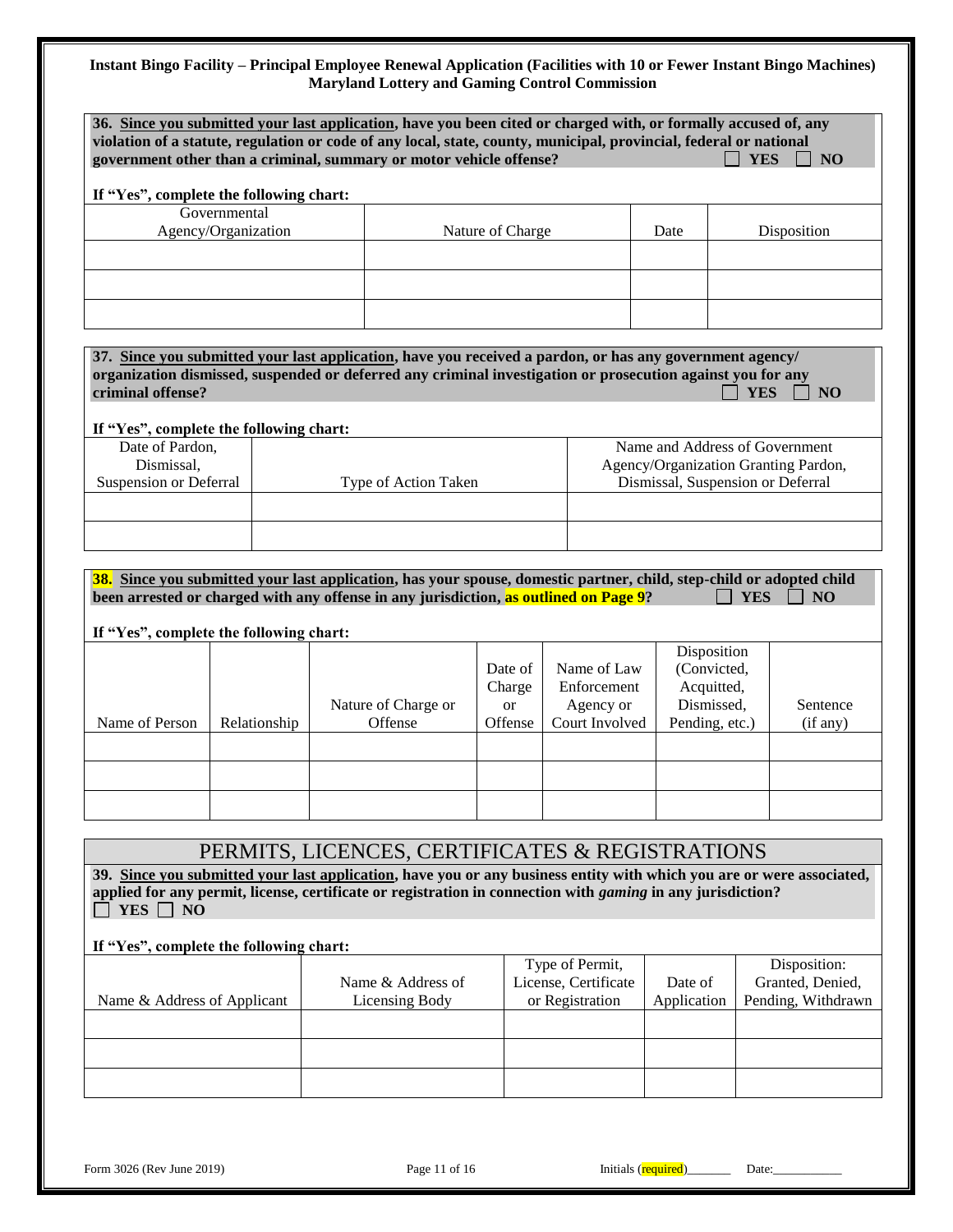|                                                           | If "Yes", complete the following chart: |                                                                                                                                                                                                               |                                                           |                |                                |                         |
|-----------------------------------------------------------|-----------------------------------------|---------------------------------------------------------------------------------------------------------------------------------------------------------------------------------------------------------------|-----------------------------------------------------------|----------------|--------------------------------|-------------------------|
|                                                           | Governmental                            |                                                                                                                                                                                                               |                                                           |                |                                |                         |
|                                                           | Agency/Organization                     | Nature of Charge<br>Date                                                                                                                                                                                      |                                                           |                |                                | Disposition             |
|                                                           |                                         |                                                                                                                                                                                                               |                                                           |                |                                |                         |
|                                                           |                                         |                                                                                                                                                                                                               |                                                           |                |                                |                         |
|                                                           |                                         |                                                                                                                                                                                                               |                                                           |                |                                |                         |
|                                                           |                                         | 37. Since you submitted your last application, have you received a pardon, or has any government agency/                                                                                                      |                                                           |                |                                |                         |
| criminal offense?                                         |                                         | organization dismissed, suspended or deferred any criminal investigation or prosecution against you for any                                                                                                   |                                                           |                |                                |                         |
|                                                           |                                         |                                                                                                                                                                                                               |                                                           |                |                                | <b>YES</b><br>NO        |
| If "Yes", complete the following chart:                   |                                         |                                                                                                                                                                                                               |                                                           |                |                                |                         |
| Date of Pardon,                                           |                                         |                                                                                                                                                                                                               |                                                           |                | Name and Address of Government |                         |
| Dismissal.                                                |                                         |                                                                                                                                                                                                               | Agency/Organization Granting Pardon,                      |                |                                |                         |
| Suspension or Deferral                                    |                                         |                                                                                                                                                                                                               | Dismissal, Suspension or Deferral<br>Type of Action Taken |                |                                |                         |
|                                                           |                                         |                                                                                                                                                                                                               |                                                           |                |                                |                         |
|                                                           |                                         |                                                                                                                                                                                                               |                                                           |                |                                |                         |
|                                                           |                                         |                                                                                                                                                                                                               |                                                           |                |                                |                         |
|                                                           |                                         | 38. Since you submitted your last application, has your spouse, domestic partner, child, step-child or adopted child<br>been arrested or charged with any offense in any jurisdiction, as outlined on Page 9? |                                                           |                |                                | <b>YES</b><br><b>NO</b> |
|                                                           |                                         |                                                                                                                                                                                                               |                                                           |                |                                |                         |
|                                                           |                                         |                                                                                                                                                                                                               |                                                           |                |                                |                         |
|                                                           |                                         |                                                                                                                                                                                                               |                                                           |                |                                |                         |
|                                                           |                                         |                                                                                                                                                                                                               |                                                           |                | Disposition                    |                         |
|                                                           |                                         |                                                                                                                                                                                                               | Date of                                                   | Name of Law    | (Convicted,                    |                         |
|                                                           |                                         |                                                                                                                                                                                                               | Charge                                                    | Enforcement    | Acquitted,                     |                         |
|                                                           |                                         | Nature of Charge or                                                                                                                                                                                           | <b>or</b>                                                 | Agency or      | Dismissed,                     |                         |
|                                                           | Relationship                            | Offense                                                                                                                                                                                                       | Offense                                                   | Court Involved | Pending, etc.)                 | (if any)                |
|                                                           |                                         |                                                                                                                                                                                                               |                                                           |                |                                | Sentence                |
|                                                           |                                         |                                                                                                                                                                                                               |                                                           |                |                                |                         |
| If "Yes", complete the following chart:<br>Name of Person |                                         |                                                                                                                                                                                                               |                                                           |                |                                |                         |

 $\Box$  YES  $\Box$  NO

|                             |                   | Type of Permit,      |             | Disposition:       |
|-----------------------------|-------------------|----------------------|-------------|--------------------|
|                             | Name & Address of | License, Certificate | Date of     | Granted, Denied,   |
| Name & Address of Applicant | Licensing Body    | or Registration      | Application | Pending, Withdrawn |
|                             |                   |                      |             |                    |
|                             |                   |                      |             |                    |
|                             |                   |                      |             |                    |
|                             |                   |                      |             |                    |
|                             |                   |                      |             |                    |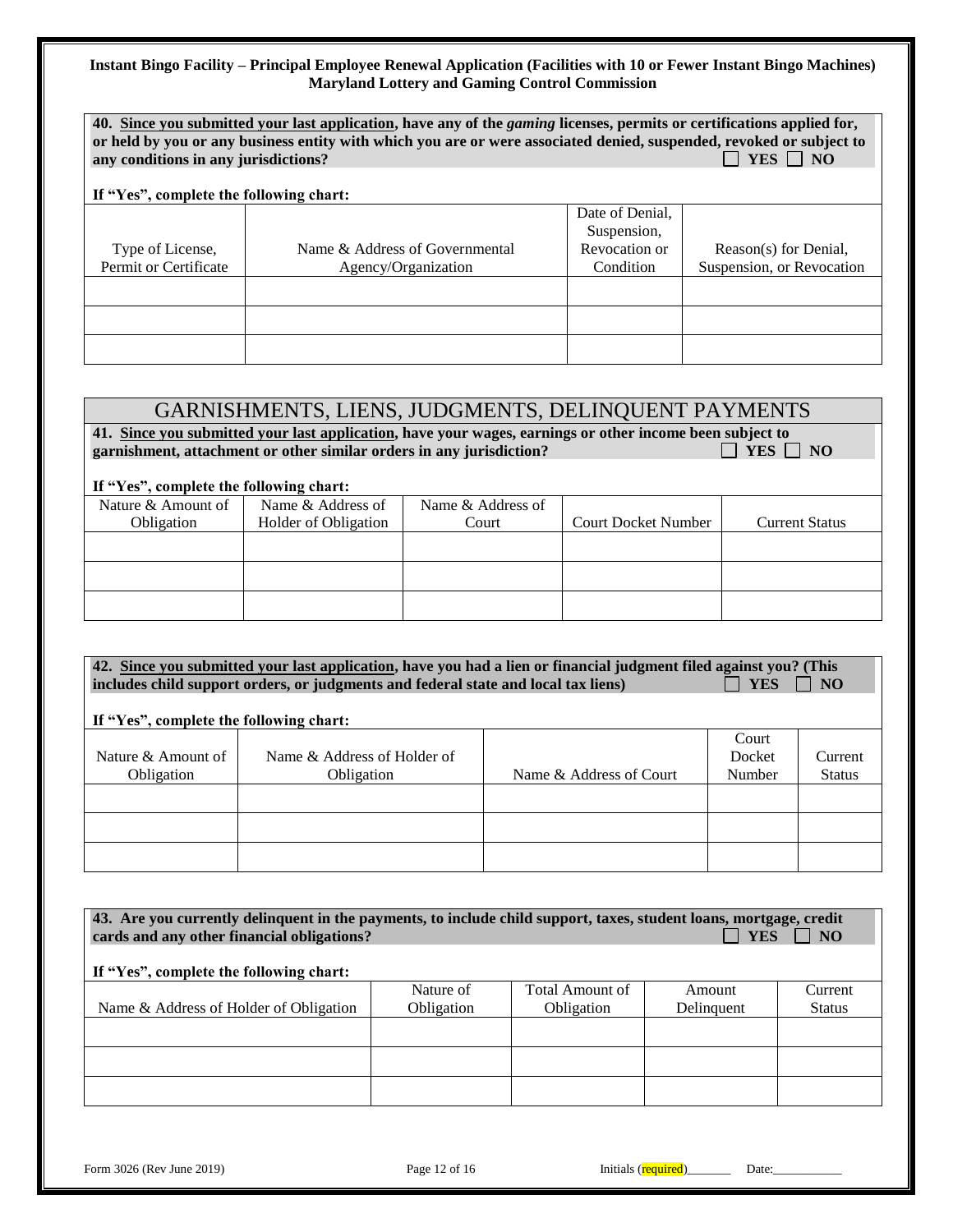| 40. Since you submitted your last application, have any of the <i>gaming</i> licenses, permits or certifications applied for,<br>or held by you or any business entity with which you are or were associated denied, suspended, revoked or subject to<br>YES     NO<br>any conditions in any jurisdictions?<br>If "Yes", complete the following chart: |                                                       |                                                              |                                                    |  |  |  |
|--------------------------------------------------------------------------------------------------------------------------------------------------------------------------------------------------------------------------------------------------------------------------------------------------------------------------------------------------------|-------------------------------------------------------|--------------------------------------------------------------|----------------------------------------------------|--|--|--|
| Type of License,<br>Permit or Certificate                                                                                                                                                                                                                                                                                                              | Name & Address of Governmental<br>Agency/Organization | Date of Denial,<br>Suspension,<br>Revocation or<br>Condition | Reason(s) for Denial,<br>Suspension, or Revocation |  |  |  |
|                                                                                                                                                                                                                                                                                                                                                        |                                                       |                                                              |                                                    |  |  |  |

# GARNISHMENTS, LIENS, JUDGMENTS, DELINQUENT PAYMENTS

**41.** Since you submitted your last application, have your wages, earnings or other income been subject to garnishment, attachment or other similar orders in any jurisdiction? garnishment, attachment or other similar orders in any jurisdiction?

#### **If "Yes", complete the following chart:**

| $\mathbf{r}$ and $\mathbf{r}$ are $\mathbf{r}$ and $\mathbf{r}$ and $\mathbf{r}$ and $\mathbf{r}$ |                      |                   |                            |                       |
|---------------------------------------------------------------------------------------------------|----------------------|-------------------|----------------------------|-----------------------|
| Nature & Amount of                                                                                | Name & Address of    | Name & Address of |                            |                       |
| Obligation                                                                                        | Holder of Obligation | Court             | <b>Court Docket Number</b> | <b>Current Status</b> |
|                                                                                                   |                      |                   |                            |                       |
|                                                                                                   |                      |                   |                            |                       |
|                                                                                                   |                      |                   |                            |                       |
|                                                                                                   |                      |                   |                            |                       |
|                                                                                                   |                      |                   |                            |                       |
|                                                                                                   |                      |                   |                            |                       |

42. <u>Since you submitted your last application</u>, have you had a lien or financial judgment filed against you? (This includes child support orders, or judgments and federal state and local tax liens) **FILES**  $\Box$  NO includes child support orders, or judgments and federal state and local tax liens)

|                    |                             |                         | Court  |               |
|--------------------|-----------------------------|-------------------------|--------|---------------|
| Nature & Amount of | Name & Address of Holder of |                         | Docket | Current       |
| Obligation         | Obligation                  | Name & Address of Court | Number | <b>Status</b> |
|                    |                             |                         |        |               |
|                    |                             |                         |        |               |
|                    |                             |                         |        |               |
|                    |                             |                         |        |               |
|                    |                             |                         |        |               |
|                    |                             |                         |        |               |

| 43. Are you currently delinquent in the payments, to include child support, taxes, student loans, mortgage, credit<br><b>YES</b><br>$\overline{\phantom{a}}$ NO<br>cards and any other financial obligations?<br>If "Yes", complete the following chart: |                         |                                      |                             |                          |  |  |  |
|----------------------------------------------------------------------------------------------------------------------------------------------------------------------------------------------------------------------------------------------------------|-------------------------|--------------------------------------|-----------------------------|--------------------------|--|--|--|
| Name & Address of Holder of Obligation                                                                                                                                                                                                                   | Nature of<br>Obligation | Total Amount of<br><b>Obligation</b> | <b>Amount</b><br>Delinquent | Current<br><b>Status</b> |  |  |  |
|                                                                                                                                                                                                                                                          |                         |                                      |                             |                          |  |  |  |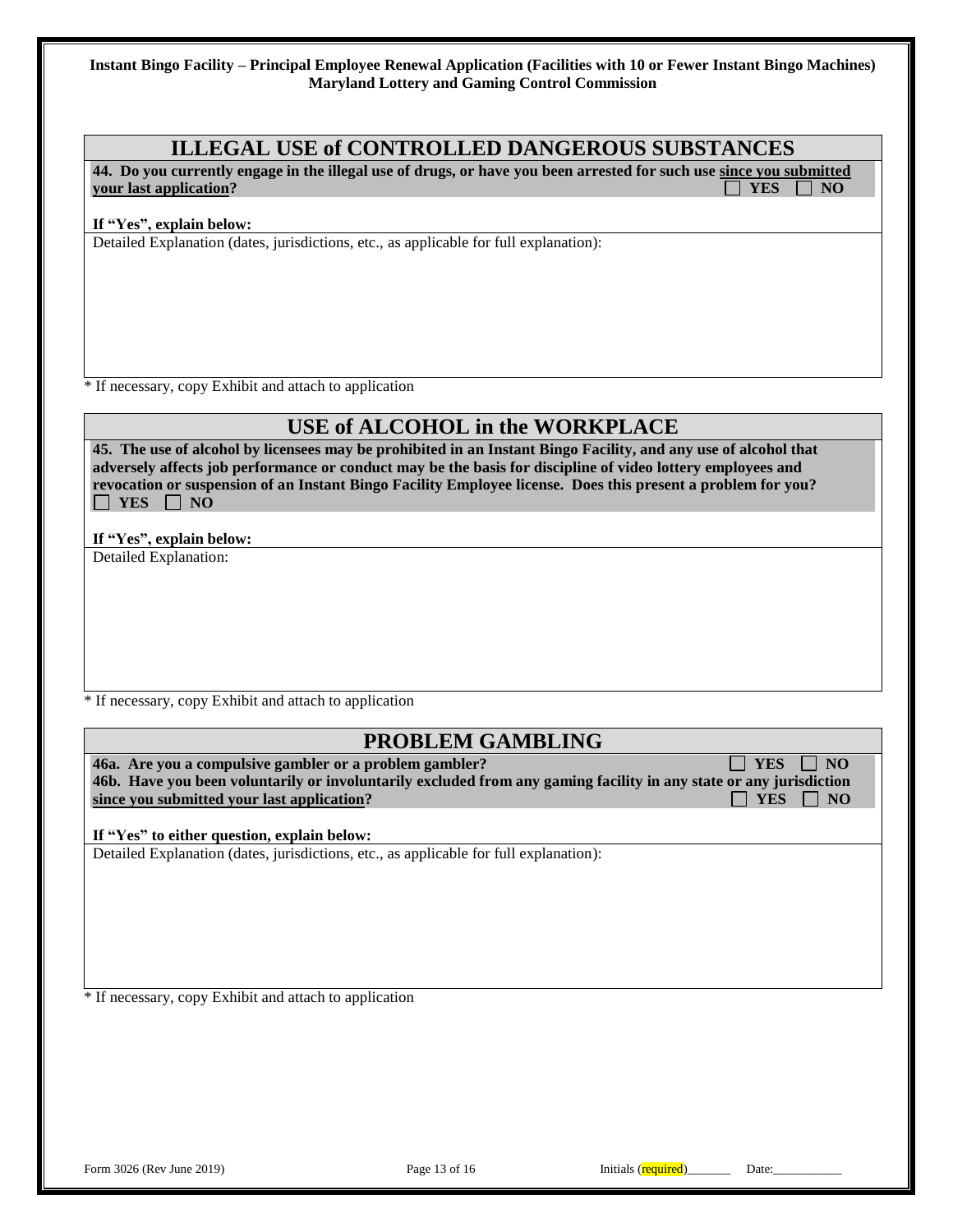## **ILLEGAL USE of CONTROLLED DANGEROUS SUBSTANCES**

**44. Do you currently engage in the illegal use of drugs, or have you been arrested for such use since you submitted**  *your last application?* **The set of the set of the set of the set of the set of the set of the set of the set of the set of the set of the set of the set of the set of the set of the set of the set of the set of the set o** 

#### **If "Yes", explain below:**

Detailed Explanation (dates, jurisdictions, etc., as applicable for full explanation):

\* If necessary, copy Exhibit and attach to application

## **USE of ALCOHOL in the WORKPLACE**

**45. The use of alcohol by licensees may be prohibited in an Instant Bingo Facility, and any use of alcohol that adversely affects job performance or conduct may be the basis for discipline of video lottery employees and revocation or suspension of an Instant Bingo Facility Employee license. Does this present a problem for you?**   $\Box$  YES  $\Box$  NO

#### **If "Yes", explain below:**

Detailed Explanation:

\* If necessary, copy Exhibit and attach to application

## **PROBLEM GAMBLING**

**46a.** Are you a compulsive gambler or a problem gambler?  $\Box$  YES  $\Box$  YES  $\Box$  NO **46b. Have you been voluntarily or involuntarily excluded from any gaming facility in any state or any jurisdiction since you submitted your last application?** All the state of the state of the state of the state of the state of the state of the state of the state of the state of the state of the state of the state of the state of the

**If "Yes" to either question, explain below:**

Detailed Explanation (dates, jurisdictions, etc., as applicable for full explanation):

\* If necessary, copy Exhibit and attach to application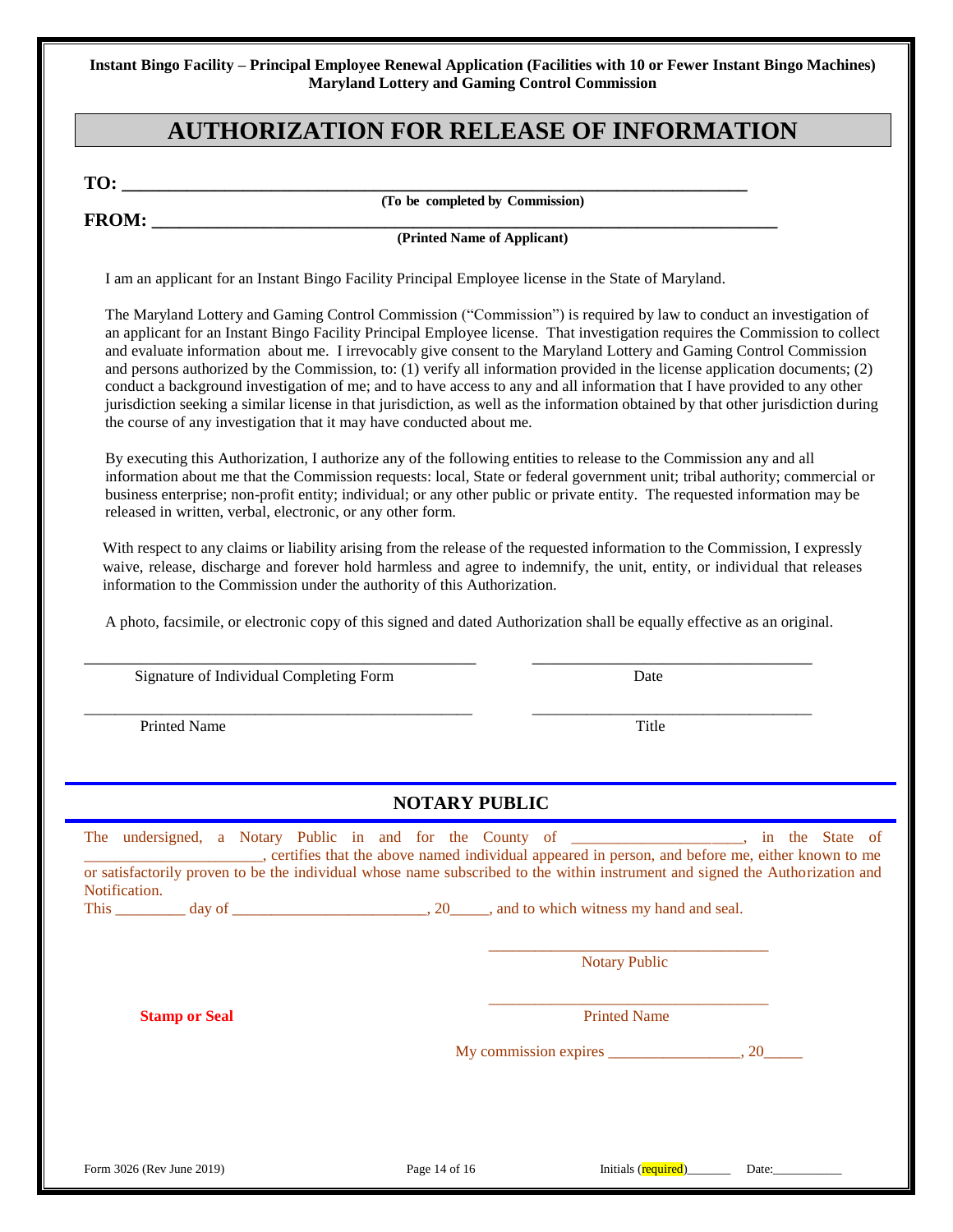# **AUTHORIZATION FOR RELEASE OF INFORMATION**

**TO: \_\_\_\_\_\_\_\_\_\_\_\_\_\_\_\_\_\_\_\_\_\_\_\_\_\_\_\_\_\_\_\_\_\_\_\_\_\_\_\_\_\_\_\_\_\_\_\_\_\_\_\_\_\_\_\_\_\_\_\_\_\_\_\_\_\_\_**

**FROM: \_\_\_\_\_\_\_\_\_\_\_\_\_\_\_\_\_\_\_\_\_\_\_\_\_\_\_\_\_\_\_\_\_\_\_\_\_\_\_\_\_\_\_\_\_\_\_\_\_\_\_\_\_\_\_\_\_\_\_\_\_\_\_\_\_\_\_**

**(To be completed by Commission)**

#### **(Printed Name of Applicant)**

I am an applicant for an Instant Bingo Facility Principal Employee license in the State of Maryland.

The Maryland Lottery and Gaming Control Commission ("Commission") is required by law to conduct an investigation of an applicant for an Instant Bingo Facility Principal Employee license. That investigation requires the Commission to collect and evaluate information about me. I irrevocably give consent to the Maryland Lottery and Gaming Control Commission and persons authorized by the Commission, to: (1) verify all information provided in the license application documents; (2) conduct a background investigation of me; and to have access to any and all information that I have provided to any other jurisdiction seeking a similar license in that jurisdiction, as well as the information obtained by that other jurisdiction during the course of any investigation that it may have conducted about me.

By executing this Authorization, I authorize any of the following entities to release to the Commission any and all information about me that the Commission requests: local, State or federal government unit; tribal authority; commercial or business enterprise; non-profit entity; individual; or any other public or private entity. The requested information may be released in written, verbal, electronic, or any other form.

With respect to any claims or liability arising from the release of the requested information to the Commission, I expressly waive, release, discharge and forever hold harmless and agree to indemnify, the unit, entity, or individual that releases information to the Commission under the authority of this Authorization.

A photo, facsimile, or electronic copy of this signed and dated Authorization shall be equally effective as an original.

\_\_\_\_\_\_\_\_\_\_\_\_\_\_\_\_\_\_\_\_\_\_\_\_\_\_\_\_\_\_\_\_\_\_\_\_\_\_\_\_\_\_ \_\_\_\_\_\_\_\_\_\_\_\_\_\_\_\_\_\_\_\_\_\_\_\_\_\_\_\_\_\_

\_\_\_\_\_\_\_\_\_\_\_\_\_\_\_\_\_\_\_\_\_\_\_\_\_\_\_\_\_\_\_\_\_\_\_\_\_\_\_\_\_\_\_\_\_\_\_\_\_\_ \_\_\_\_\_\_\_\_\_\_\_\_\_\_\_\_\_\_\_\_\_\_\_\_\_\_\_\_\_\_\_\_\_\_\_\_

Signature of Individual Completing Form Date

Printed Name Title

#### **NOTARY PUBLIC**

| The undersigned, a Notary Public in and for the County of _________________, in the State of                                                                                                                                              |  |  |  | ertifies that the above named individual appeared in person, and before me, either known to me |    |  |
|-------------------------------------------------------------------------------------------------------------------------------------------------------------------------------------------------------------------------------------------|--|--|--|------------------------------------------------------------------------------------------------|----|--|
| or satisfactorily proven to be the individual whose name subscribed to the within instrument and signed the Authorization and<br>Notification.                                                                                            |  |  |  |                                                                                                |    |  |
| This <u>entity</u> day of <u>entity and the set of the set of the set of the set of the set of the set of the set of the set of the set of the set of the set of the set of the set of the set of the set of the set of the set of th</u> |  |  |  |                                                                                                |    |  |
|                                                                                                                                                                                                                                           |  |  |  | <b>Notary Public</b>                                                                           |    |  |
| <b>Stamp or Seal</b>                                                                                                                                                                                                                      |  |  |  | <b>Printed Name</b>                                                                            |    |  |
|                                                                                                                                                                                                                                           |  |  |  |                                                                                                | 20 |  |

Form 3026 (Rev June 2019) Page 14 of 16 Initials (required) Date: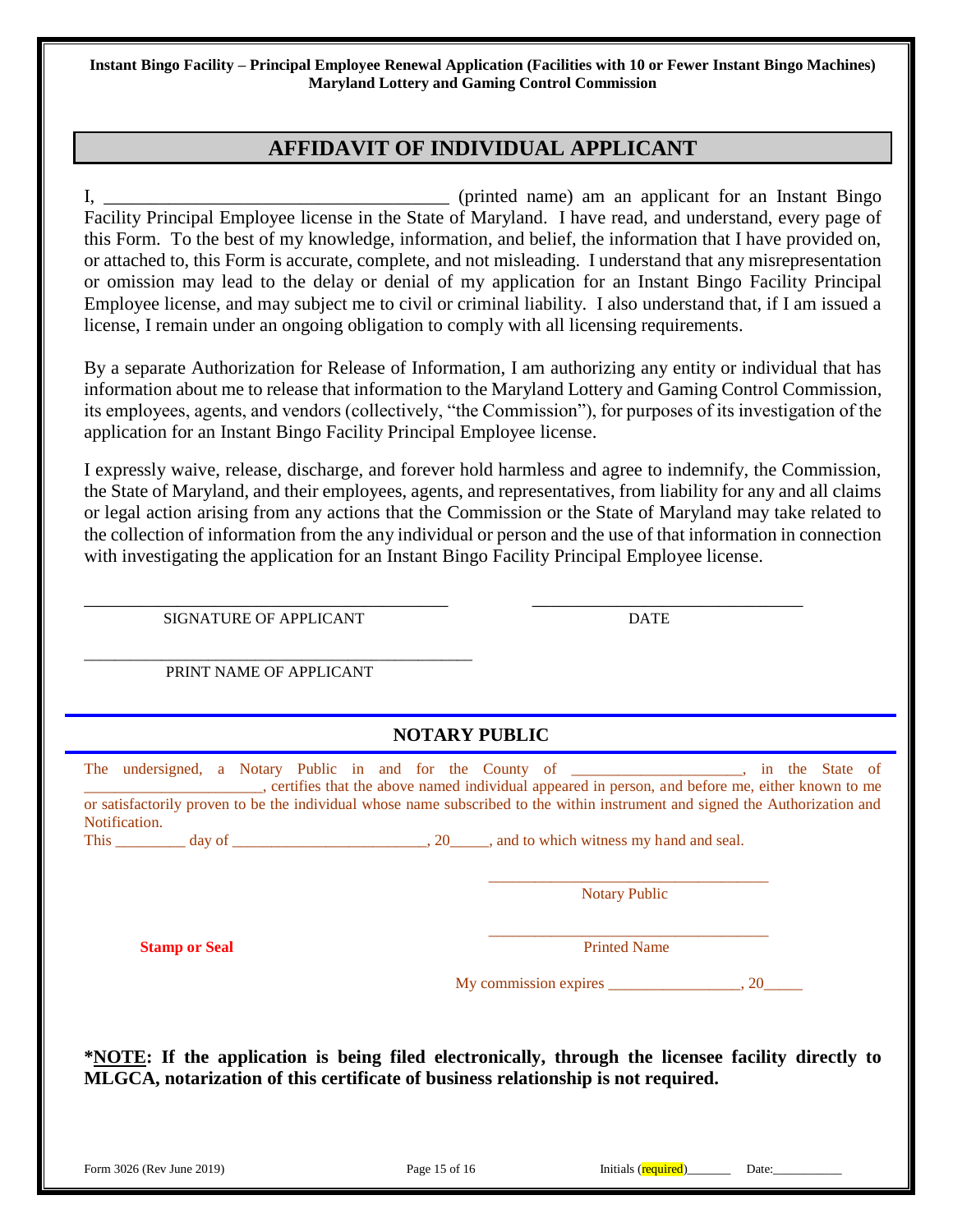# **AFFIDAVIT OF INDIVIDUAL APPLICANT**

I, \_\_\_\_\_\_\_\_\_\_\_\_\_\_\_\_\_\_\_\_\_\_\_\_\_\_\_\_\_\_\_\_\_\_\_\_\_ (printed name) am an applicant for an Instant Bingo Facility Principal Employee license in the State of Maryland. I have read, and understand, every page of this Form. To the best of my knowledge, information, and belief, the information that I have provided on, or attached to, this Form is accurate, complete, and not misleading. I understand that any misrepresentation or omission may lead to the delay or denial of my application for an Instant Bingo Facility Principal Employee license, and may subject me to civil or criminal liability. I also understand that, if I am issued a license, I remain under an ongoing obligation to comply with all licensing requirements.

By a separate Authorization for Release of Information, I am authorizing any entity or individual that has information about me to release that information to the Maryland Lottery and Gaming Control Commission, its employees, agents, and vendors (collectively, "the Commission"), for purposes of its investigation of the application for an Instant Bingo Facility Principal Employee license.

I expressly waive, release, discharge, and forever hold harmless and agree to indemnify, the Commission, the State of Maryland, and their employees, agents, and representatives, from liability for any and all claims or legal action arising from any actions that the Commission or the State of Maryland may take related to the collection of information from the any individual or person and the use of that information in connection with investigating the application for an Instant Bingo Facility Principal Employee license.

\_\_\_\_\_\_\_\_\_\_\_\_\_\_\_\_\_\_\_\_\_\_\_\_\_\_\_\_\_\_\_\_\_\_\_\_\_\_\_ \_\_\_\_\_\_\_\_\_\_\_\_\_\_\_\_\_\_\_\_\_\_\_\_\_\_\_\_\_ SIGNATURE OF APPLICANT DATE

\_\_\_\_\_\_\_\_\_\_\_\_\_\_\_\_\_\_\_\_\_\_\_\_\_\_\_\_\_\_\_\_\_\_\_\_\_\_\_\_\_\_\_\_\_\_\_\_\_\_ PRINT NAME OF APPLICANT

 **NOTARY PUBLIC**

| The undersigned, a Notary Public in and for the County of _______________, in the State of<br>certifies that the above named individual appeared in person, and before me, either known to me<br>or satisfactorily proven to be the individual whose name subscribed to the within instrument and signed the Authorization and<br>Notification. |               |                                            |       |
|-------------------------------------------------------------------------------------------------------------------------------------------------------------------------------------------------------------------------------------------------------------------------------------------------------------------------------------------------|---------------|--------------------------------------------|-------|
|                                                                                                                                                                                                                                                                                                                                                 |               | <b>Notary Public</b>                       |       |
| <b>Stamp or Seal</b>                                                                                                                                                                                                                                                                                                                            |               | <b>Printed Name</b>                        |       |
|                                                                                                                                                                                                                                                                                                                                                 |               | My commission expires $\frac{\ }{\ }$ , 20 |       |
| <b>*NOTE:</b> If the application is being filed electronically, through the licensee facility directly to<br>MLGCA, notarization of this certificate of business relationship is not required.                                                                                                                                                  |               |                                            |       |
| Form 3026 (Rev June 2019)                                                                                                                                                                                                                                                                                                                       | Page 15 of 16 | Initials (required)                        | Date: |